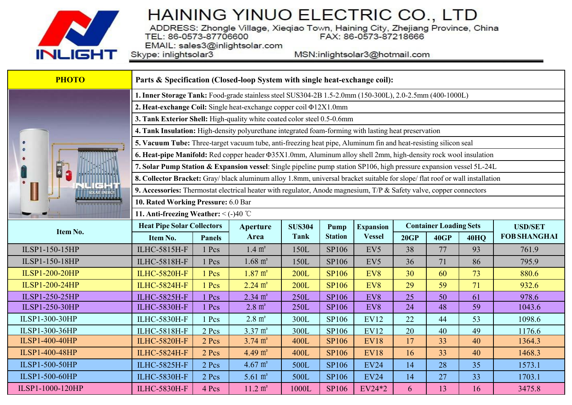

ADDRESS: Zhongle Village, Xieqiao Town, Haining City, Zhejiang Province, China<br>TEL: 86-0573-87706600 FAX: 86-0573-87218666

EMAIL: sales3@inlightsolar.com Skype: inlightsolar3

MSN:inlightsolar3@hotmail.com

| <b>PHOTO</b>          | Parts & Specification (Closed-loop System with single heat-exchange coil):                                                   |               |                    |               |                |                       |                               |      |             |                     |  |
|-----------------------|------------------------------------------------------------------------------------------------------------------------------|---------------|--------------------|---------------|----------------|-----------------------|-------------------------------|------|-------------|---------------------|--|
|                       | 1. Inner Storage Tank: Food-grade stainless steel SUS304-2B 1.5-2.0mm (150-300L), 2.0-2.5mm (400-1000L)                      |               |                    |               |                |                       |                               |      |             |                     |  |
|                       | 2. Heat-exchange Coil: Single heat-exchange copper coil $\Phi$ 12X1.0mm                                                      |               |                    |               |                |                       |                               |      |             |                     |  |
|                       | 3. Tank Exterior Shell: High-quality white coated color steel 0.5-0.6mm                                                      |               |                    |               |                |                       |                               |      |             |                     |  |
|                       | 4. Tank Insulation: High-density polyurethane integrated foam-forming with lasting heat preservation                         |               |                    |               |                |                       |                               |      |             |                     |  |
|                       | 5. Vacuum Tube: Three-target vacuum tube, anti-freezing heat pipe, Aluminum fin and heat-resisting silicon seal              |               |                    |               |                |                       |                               |      |             |                     |  |
|                       | 6. Heat-pipe Manifold: Red copper header $\Phi$ 35X1.0mm, Aluminum alloy shell 2mm, high-density rock wool insulation        |               |                    |               |                |                       |                               |      |             |                     |  |
| <b>E</b>              | 7. Solar Pump Station & Expansion vessel: Single pipeline pump station SP106, high pressure expansion vessel 5L-24L          |               |                    |               |                |                       |                               |      |             |                     |  |
|                       | 8. Collector Bracket: Gray/ black aluminum alloy 1.8mm, universal bracket suitable for slope/ flat roof or wall installation |               |                    |               |                |                       |                               |      |             |                     |  |
|                       | 9. Accessories: Thermostat electrical heater with regulator, Anode magnesium, T/P & Safety valve, copper connectors          |               |                    |               |                |                       |                               |      |             |                     |  |
|                       | 10. Rated Working Pressure: 6.0 Bar                                                                                          |               |                    |               |                |                       |                               |      |             |                     |  |
|                       | 11. Anti-freezing Weather: $\leq (-)40$ °C                                                                                   |               |                    |               |                |                       |                               |      |             |                     |  |
|                       | <b>Heat Pipe Solar Collectors</b>                                                                                            |               | <b>Aperture</b>    | <b>SUS304</b> | Pump           | <b>Expansion</b>      | <b>Container Loading Sets</b> |      |             | <b>USD/SET</b>      |  |
| Item No.              |                                                                                                                              |               | Area               | <b>Tank</b>   | <b>Station</b> | <b>Vessel</b>         |                               |      |             |                     |  |
|                       | Item No.                                                                                                                     | <b>Panels</b> |                    |               |                |                       | 20GP                          | 40GP | <b>40HQ</b> | <b>FOB SHANGHAI</b> |  |
| ILSP1-150-15HP        | ILHC-5815H-F                                                                                                                 | 1 Pcs         | $1.4 \text{ m}^2$  | 150L          | SP106          | EV <sub>5</sub>       | 38                            | 77   | 93          | 761.9               |  |
| ILSP1-150-18HP        | <b>ILHC-5818H-F</b>                                                                                                          | 1 Pcs         | $1.68 \text{ m}^2$ | 150L          | SP106          | EV <sub>5</sub>       | 36                            | 71   | 86          | 795.9               |  |
| <b>ILSP1-200-20HP</b> | <b>ILHC-5820H-F</b>                                                                                                          | 1 Pcs         | $1.87 \text{ m}^2$ | <b>200L</b>   | <b>SP106</b>   | EV8                   | 30                            | 60   | 73          | 880.6               |  |
| <b>ILSP1-200-24HP</b> | <b>ILHC-5824H-F</b>                                                                                                          | 1 Pcs         | $2.24 \text{ m}^2$ | <b>200L</b>   | <b>SP106</b>   | EV8                   | 29                            | 59   | 71          | 932.6               |  |
| ILSP1-250-25HP        | <b>ILHC-5825H-F</b>                                                                                                          | Pcs           | $2.34 \text{ m}^2$ | 250L          | <b>SP106</b>   | EV8                   | 25                            | 50   | 61          | 978.6               |  |
| ILSP1-250-30HP        | <b>ILHC-5830H-F</b>                                                                                                          | 1 Pcs         | $2.8 \text{ m}^2$  | 250L          | SP106          | EV8                   | 24                            | 48   | 59          | 1043.6              |  |
| ILSP1-300-30HP        | <b>ILHC-5830H-F</b>                                                                                                          | 1 Pcs         | $2.8 \text{ m}^2$  | 300L          | SP106          | <b>EV12</b>           | 22                            | 44   | 53          | 1098.6              |  |
| ILSP1-300-36HP        | <b>ILHC-5818H-F</b>                                                                                                          | 2 Pcs         | $3.37 \text{ m}^2$ | 300L          | SP106          | <b>EV12</b>           | 20                            | 40   | 49          | 1176.6              |  |
| <b>ILSP1-400-40HP</b> | <b>ILHC-5820H-F</b>                                                                                                          | 2 Pcs         | $3.74 \text{ m}^2$ | 400L          | <b>SP106</b>   | <b>EV18</b>           | 17                            | 33   | 40          | 1364.3              |  |
| ILSP1-400-48HP        | <b>ILHC-5824H-F</b>                                                                                                          | 2 Pcs         | 4.49 $m2$          | 400L          | <b>SP106</b>   | <b>EV18</b>           | 16                            | 33   | 40          | 1468.3              |  |
| ILSP1-500-50HP        | <b>ILHC-5825H-F</b>                                                                                                          | 2 Pcs         | $4.67 \text{ m}^2$ | 500L          | SP106          | <b>EV24</b>           | 14                            | 28   | 35          | 1573.1              |  |
| ILSP1-500-60HP        | <b>ILHC-5830H-F</b><br><b>ILHC-5830H-F</b>                                                                                   | 2 Pcs         | $5.61 \text{ m}^2$ | 500L          | SP106          | <b>EV24</b><br>EV24*2 | 14                            | 27   | 33          | 1703.1              |  |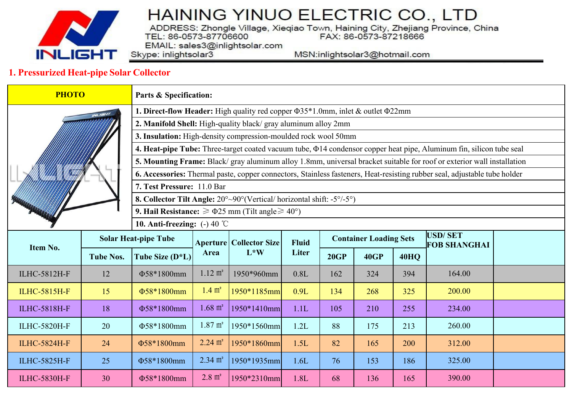

ADDRESS: Zhongle Village, Xieqiao Town, Haining City, Zhejiang Province, China<br>TEL: 86-0573-87706600 FAX: 86-0573-87218666

EMAIL: sales3@inlightsolar.com Skype: inlightsolar3

MSN:inlightsolar3@hotmail.com

#### 1. Pressurized Heat-pipe Solar Collector

| <b>PHOTO</b>        |                  | Parts & Specification:                                                                                                    |                    |                                          |              |                               |             |                     |                                                                                                                           |  |  |  |
|---------------------|------------------|---------------------------------------------------------------------------------------------------------------------------|--------------------|------------------------------------------|--------------|-------------------------------|-------------|---------------------|---------------------------------------------------------------------------------------------------------------------------|--|--|--|
|                     |                  | <b>1. Direct-flow Header:</b> High quality red copper $\Phi$ 35*1.0mm, inlet & outlet $\Phi$ 22mm                         |                    |                                          |              |                               |             |                     |                                                                                                                           |  |  |  |
|                     |                  | 2. Manifold Shell: High-quality black/ gray aluminum alloy 2mm                                                            |                    |                                          |              |                               |             |                     |                                                                                                                           |  |  |  |
|                     |                  | 3. Insulation: High-density compression-moulded rock wool 50mm                                                            |                    |                                          |              |                               |             |                     |                                                                                                                           |  |  |  |
|                     |                  | 4. Heat-pipe Tube: Three-target coated vacuum tube, $\Phi$ 14 condensor copper heat pipe, Aluminum fin, silicon tube seal |                    |                                          |              |                               |             |                     |                                                                                                                           |  |  |  |
|                     |                  |                                                                                                                           |                    |                                          |              |                               |             |                     | 5. Mounting Frame: Black/gray aluminum alloy 1.8mm, universal bracket suitable for roof or exterior wall installation     |  |  |  |
|                     |                  |                                                                                                                           |                    |                                          |              |                               |             |                     | 6. Accessories: Thermal paste, copper connectors, Stainless fasteners, Heat-resisting rubber seal, adjustable tube holder |  |  |  |
|                     |                  | 7. Test Pressure: 11.0 Bar                                                                                                |                    |                                          |              |                               |             |                     |                                                                                                                           |  |  |  |
|                     |                  | <b>8. Collector Tilt Angle:</b> $20^{\circ} \sim 90^{\circ}$ (Vertical/horizontal shift: $-5^{\circ}/-5^{\circ}$ )        |                    |                                          |              |                               |             |                     |                                                                                                                           |  |  |  |
|                     |                  | <b>9. Hail Resistance:</b> $\geq \Phi$ 25 mm (Tilt angle $\geq 40^{\circ}$ )<br>10. Anti-freezing: $(-)$ 40 °C            |                    |                                          |              |                               |             |                     |                                                                                                                           |  |  |  |
|                     |                  |                                                                                                                           |                    | <b>Aperture Collector Size</b><br>$L^*W$ |              |                               |             |                     | <b>USD/SET</b>                                                                                                            |  |  |  |
| Item No.            |                  | <b>Solar Heat-pipe Tube</b>                                                                                               |                    |                                          | <b>Fluid</b> | <b>Container Loading Sets</b> |             | <b>FOB SHANGHAI</b> |                                                                                                                           |  |  |  |
|                     | <b>Tube Nos.</b> | Tube Size (D <sup>*</sup> L)                                                                                              | Area               |                                          | Liter        | 20GP                          | <b>40GP</b> | <b>40HQ</b>         |                                                                                                                           |  |  |  |
| <b>ILHC-5812H-F</b> | 12               | Φ58*1800mm                                                                                                                | $1.12 \text{ m}^2$ | 1950*960mm                               | 0.8L         | 162                           | 324         | 394                 | 164.00                                                                                                                    |  |  |  |
| <b>ILHC-5815H-F</b> | 15               | $1.4 \text{ m}^2$<br>0.9L<br>1950*1185mm<br>268<br>325<br>200.00<br>Φ58*1800mm<br>134                                     |                    |                                          |              |                               |             |                     |                                                                                                                           |  |  |  |
| <b>ILHC-5818H-F</b> | 18               | $1.68 \text{ m}^2$<br>1950*1410mm<br>1.1L<br>210<br>234.00<br>Φ58*1800mm<br>105<br>255                                    |                    |                                          |              |                               |             |                     |                                                                                                                           |  |  |  |
| <b>ILHC-5820H-F</b> | 20               | $1.87 \text{ m}^2$<br>1950*1560mm<br>260.00<br>1.2L<br>88<br>Φ58*1800mm<br>175<br>213                                     |                    |                                          |              |                               |             |                     |                                                                                                                           |  |  |  |
| <b>ILHC-5824H-F</b> | 24               | Φ58*1800mm                                                                                                                | $2.24 \text{ m}^2$ | 1950*1860mm                              | 1.5L         | 82                            | 165         | 200                 | 312.00                                                                                                                    |  |  |  |
| <b>ILHC-5825H-F</b> | 25               | Φ58*1800mm                                                                                                                | $2.34 \text{ m}^2$ | 1950*1935mm                              | 1.6L         | 76                            | 153         | 186                 | 325.00                                                                                                                    |  |  |  |
| <b>ILHC-5830H-F</b> | 30               | Φ58*1800mm                                                                                                                | $2.8 \text{ m}^2$  | 1950*2310mm                              | 1.8L         | 68                            | 136         | 165                 | 390.00                                                                                                                    |  |  |  |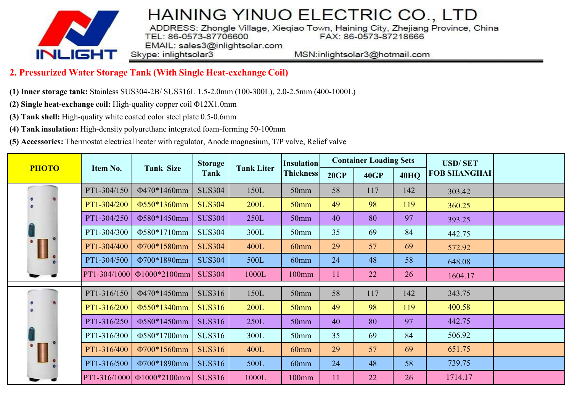

ADDRESS: Zhongle Village, Xieqiao Town, Haining City, Zhejiang Province, China<br>TEL: 86-0573-87706600 FAX: 86-0573-87218666 EMAIL: sales3@inlightsolar.com

Skype: inlightsolar3

MSN:inlightsolar3@hotmail.com

#### **2. Pressurized Water Storage Tank (With Single Heat-exchange Coil)**

- **(1) Inner storage tank:** Stainless SUS304-2B/ SUS316L 1.5-2.0mm (100-300L), 2.0-2.5mm (400-1000L)
- **(2) Single heat-exchange coil:**High-quality copper coil Φ12X1.0mm
- **(3) Tank shell:** High-quality white coated color steel plate 0.5-0.6mm
- **(4) Tank insulation:** High-density polyurethane integrated foam-forming 50-100mm
- **(5) Accessories:** Thermostat electrical heater with regulator, Anode magnesium, T/P valve, Relief valve

| <b>PHOTO</b> | Item No.     | <b>Tank Size</b>                   | <b>Storage</b><br>Tank | <b>Tank Liter</b> | <b>Insulation</b><br><b>Thickness</b> | <b>Container Loading Sets</b> |             |             | <b>USD/SET</b>      |  |
|--------------|--------------|------------------------------------|------------------------|-------------------|---------------------------------------|-------------------------------|-------------|-------------|---------------------|--|
|              |              |                                    |                        |                   |                                       | 20GP                          | <b>40GP</b> | <b>40HQ</b> | <b>FOB SHANGHAI</b> |  |
| $\alpha$     | PT1-304/150  | Φ470*1460mm                        | <b>SUS304</b>          | 150L              | 50 <sub>mm</sub>                      | 58                            | 117         | 142         | 303.42              |  |
|              | PT1-304/200  | <b><math>\Phi</math>550*1360mm</b> | <b>SUS304</b>          | <b>200L</b>       | 50 <sub>mm</sub>                      | 49                            | 98          | 119         | 360.25              |  |
|              | PT1-304/250  | Φ580*1450mm                        | <b>SUS304</b>          | 250L              | 50 <sub>mm</sub>                      | 40                            | 80          | 97          | 393.25              |  |
|              | PT1-304/300  | Φ580*1710mm                        | <b>SUS304</b>          | 300L              | 50 <sub>mm</sub>                      | 35                            | 69          | 84          | 442.75              |  |
| ŧ            | PT1-304/400  | Φ700*1580mm                        | <b>SUS304</b>          | 400L              | 60 <sub>mm</sub>                      | 29                            | 57          | 69          | 572.92              |  |
|              | PT1-304/500  | Φ700*1890mm                        | <b>SUS304</b>          | 500L              | $60$ mm                               | 24                            | 48          | 58          | 648.08              |  |
|              |              | PT1-304/1000   $\Phi$ 1000*2100mm  | <b>SUS304</b>          | 1000L             | $100$ mm                              | 11                            | 22          | 26          | 1604.17             |  |
| 4            | PT1-316/150  | Φ470*1450mm                        | <b>SUS316</b>          | 150L              | 50 <sub>mm</sub>                      | 58                            | 117         | 142         | 343.75              |  |
|              | PT1-316/200  | $\Phi$ 550*1340mm                  | <b>SUS316</b>          | <b>200L</b>       | 50 <sub>mm</sub>                      | 49                            | 98          | 119         | 400.58              |  |
|              | PT1-316/250  | Φ580*1450mm                        | <b>SUS316</b>          | 250L              | 50 <sub>mm</sub>                      | 40                            | 80          | 97          | 442.75              |  |
|              | PT1-316/300  | Φ580*1700mm                        | <b>SUS316</b>          | 300L              | 50 <sub>mm</sub>                      | 35                            | 69          | 84          | 506.92              |  |
|              | PT1-316/400  | Φ700*1560mm                        | <b>SUS316</b>          | 400L              | 60 <sub>mm</sub>                      | 29                            | 57          | 69          | 651.75              |  |
|              | PT1-316/500  | Φ700*1890mm                        | <b>SUS316</b>          | 500L              | $60$ mm                               | 24                            | 48          | 58          | 739.75              |  |
|              | PT1-316/1000 | $\Phi$ 1000*2100mm                 | <b>SUS316</b>          | 1000L             | 100mm                                 | 11                            | 22          | 26          | 1714.17             |  |